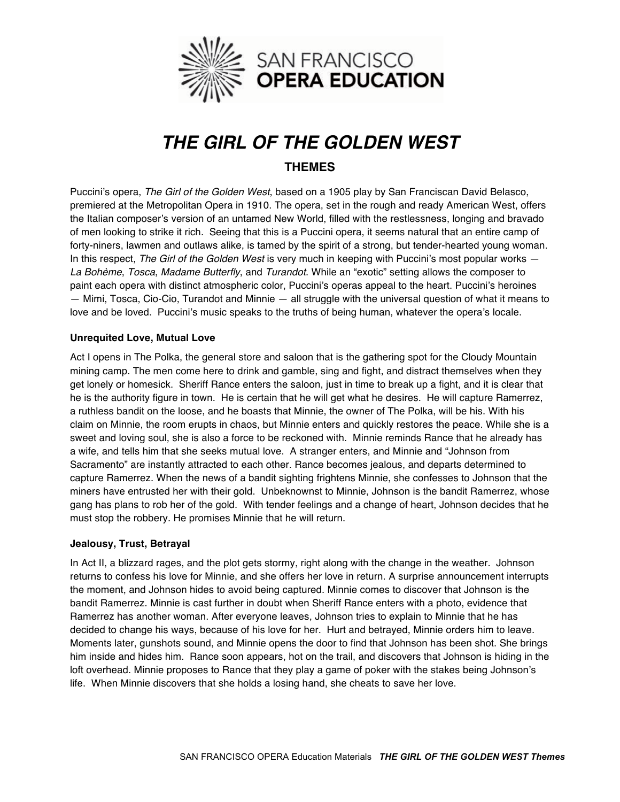

# *THE GIRL OF THE GOLDEN WEST* **THEMES**

Puccini's opera, *The Girl of the Golden West*, based on a 1905 play by San Franciscan David Belasco, premiered at the Metropolitan Opera in 1910. The opera, set in the rough and ready American West, offers the Italian composer's version of an untamed New World, filled with the restlessness, longing and bravado of men looking to strike it rich. Seeing that this is a Puccini opera, it seems natural that an entire camp of forty-niners, lawmen and outlaws alike, is tamed by the spirit of a strong, but tender-hearted young woman. In this respect, *The Girl of the Golden West* is very much in keeping with Puccini's most popular works — *La Bohème*, *Tosca*, *Madame Butterfly*, and *Turandot*. While an "exotic" setting allows the composer to paint each opera with distinct atmospheric color, Puccini's operas appeal to the heart. Puccini's heroines — Mimi, Tosca, Cio-Cio, Turandot and Minnie — all struggle with the universal question of what it means to love and be loved. Puccini's music speaks to the truths of being human, whatever the opera's locale.

## **Unrequited Love, Mutual Love**

Act I opens in The Polka, the general store and saloon that is the gathering spot for the Cloudy Mountain mining camp. The men come here to drink and gamble, sing and fight, and distract themselves when they get lonely or homesick. Sheriff Rance enters the saloon, just in time to break up a fight, and it is clear that he is the authority figure in town. He is certain that he will get what he desires. He will capture Ramerrez, a ruthless bandit on the loose, and he boasts that Minnie, the owner of The Polka, will be his. With his claim on Minnie, the room erupts in chaos, but Minnie enters and quickly restores the peace. While she is a sweet and loving soul, she is also a force to be reckoned with. Minnie reminds Rance that he already has a wife, and tells him that she seeks mutual love. A stranger enters, and Minnie and "Johnson from Sacramento" are instantly attracted to each other. Rance becomes jealous, and departs determined to capture Ramerrez. When the news of a bandit sighting frightens Minnie, she confesses to Johnson that the miners have entrusted her with their gold. Unbeknownst to Minnie, Johnson is the bandit Ramerrez, whose gang has plans to rob her of the gold. With tender feelings and a change of heart, Johnson decides that he must stop the robbery. He promises Minnie that he will return.

### **Jealousy, Trust, Betrayal**

In Act II, a blizzard rages, and the plot gets stormy, right along with the change in the weather. Johnson returns to confess his love for Minnie, and she offers her love in return. A surprise announcement interrupts the moment, and Johnson hides to avoid being captured. Minnie comes to discover that Johnson is the bandit Ramerrez. Minnie is cast further in doubt when Sheriff Rance enters with a photo, evidence that Ramerrez has another woman. After everyone leaves, Johnson tries to explain to Minnie that he has decided to change his ways, because of his love for her. Hurt and betrayed, Minnie orders him to leave. Moments later, gunshots sound, and Minnie opens the door to find that Johnson has been shot. She brings him inside and hides him. Rance soon appears, hot on the trail, and discovers that Johnson is hiding in the loft overhead. Minnie proposes to Rance that they play a game of poker with the stakes being Johnson's life. When Minnie discovers that she holds a losing hand, she cheats to save her love.